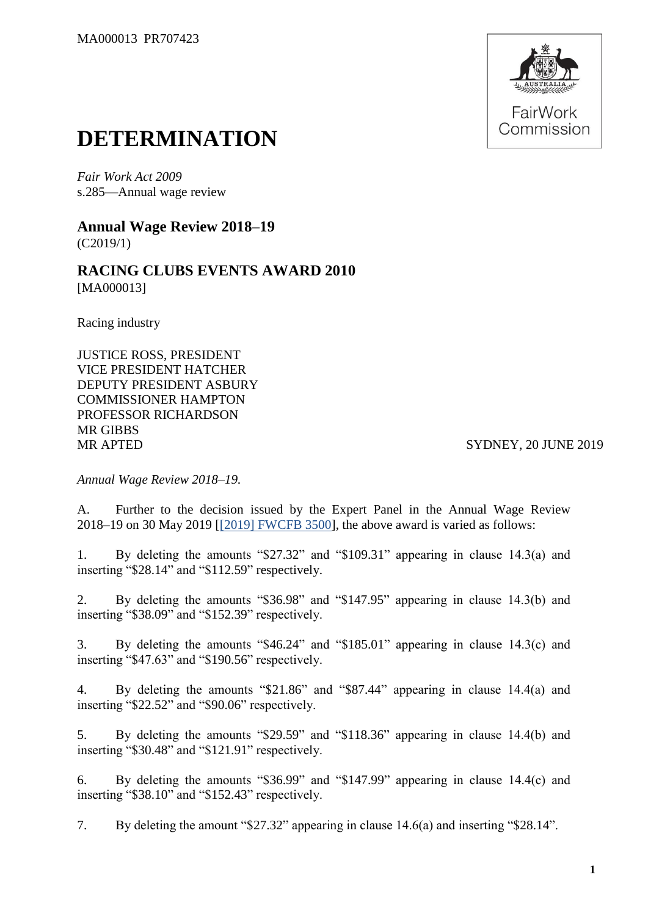

## **DETERMINATION**

*Fair Work Act 2009*  s.285—Annual wage review

**Annual Wage Review 2018–19** (C2019/1)

**RACING CLUBS EVENTS AWARD 2010** [MA000013]

Racing industry

JUSTICE ROSS, PRESIDENT VICE PRESIDENT HATCHER DEPUTY PRESIDENT ASBURY COMMISSIONER HAMPTON PROFESSOR RICHARDSON MR GIBBS MR APTED SYDNEY, 20 JUNE 2019

*Annual Wage Review 2018–19.*

A. Further to the decision issued by the Expert Panel in the Annual Wage Review 2018–19 on 30 May 2019 [\[\[2019\] FWCFB 3500\]](https://www.fwc.gov.au/documents/decisionssigned/html/2019fwcfb3500.htm), the above award is varied as follows:

1. By deleting the amounts "\$27.32" and "\$109.31" appearing in clause 14.3(a) and inserting "\$28.14" and "\$112.59" respectively.

2. By deleting the amounts "\$36.98" and "\$147.95" appearing in clause 14.3(b) and inserting "\$38.09" and "\$152.39" respectively.

3. By deleting the amounts "\$46.24" and "\$185.01" appearing in clause 14.3(c) and inserting "\$47.63" and "\$190.56" respectively.

4. By deleting the amounts "\$21.86" and "\$87.44" appearing in clause 14.4(a) and inserting "\$22.52" and "\$90.06" respectively.

5. By deleting the amounts "\$29.59" and "\$118.36" appearing in clause 14.4(b) and inserting "\$30.48" and "\$121.91" respectively.

6. By deleting the amounts "\$36.99" and "\$147.99" appearing in clause 14.4(c) and inserting "\$38.10" and "\$152.43" respectively.

7. By deleting the amount "\$27.32" appearing in clause 14.6(a) and inserting "\$28.14".